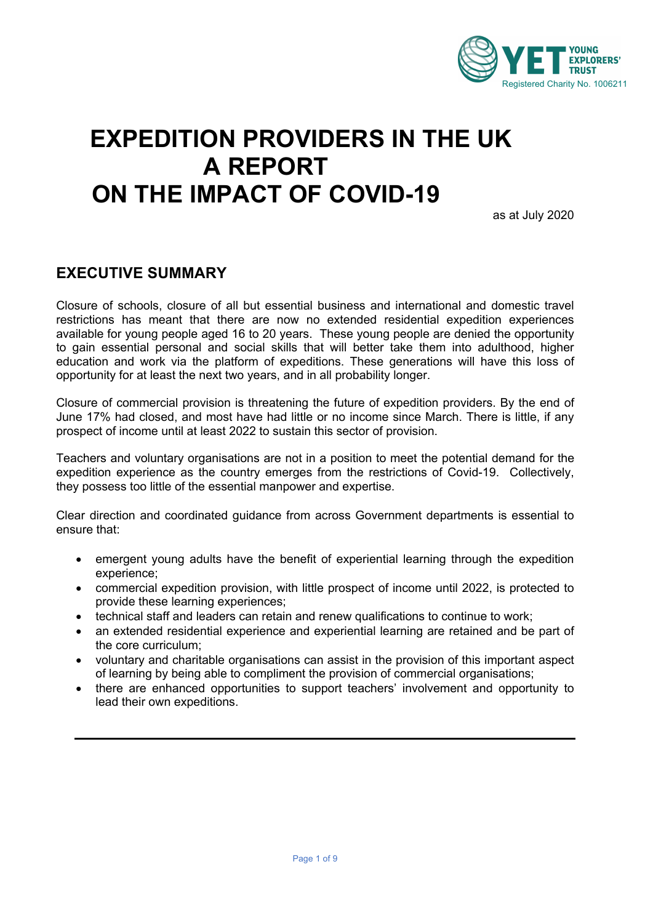

## **EXPEDITION PROVIDERS IN THE UK A REPORT ON THE IMPACT OF COVID-19**

as at July 2020

## **EXECUTIVE SUMMARY**

Closure of schools, closure of all but essential business and international and domestic travel restrictions has meant that there are now no extended residential expedition experiences available for young people aged 16 to 20 years. These young people are denied the opportunity to gain essential personal and social skills that will better take them into adulthood, higher education and work via the platform of expeditions. These generations will have this loss of opportunity for at least the next two years, and in all probability longer.

Closure of commercial provision is threatening the future of expedition providers. By the end of June 17% had closed, and most have had little or no income since March. There is little, if any prospect of income until at least 2022 to sustain this sector of provision.

Teachers and voluntary organisations are not in a position to meet the potential demand for the expedition experience as the country emerges from the restrictions of Covid-19. Collectively, they possess too little of the essential manpower and expertise.

Clear direction and coordinated guidance from across Government departments is essential to ensure that:

- emergent young adults have the benefit of experiential learning through the expedition experience;
- commercial expedition provision, with little prospect of income until 2022, is protected to provide these learning experiences;
- technical staff and leaders can retain and renew qualifications to continue to work;
- an extended residential experience and experiential learning are retained and be part of the core curriculum;
- voluntary and charitable organisations can assist in the provision of this important aspect of learning by being able to compliment the provision of commercial organisations;
- there are enhanced opportunities to support teachers' involvement and opportunity to lead their own expeditions.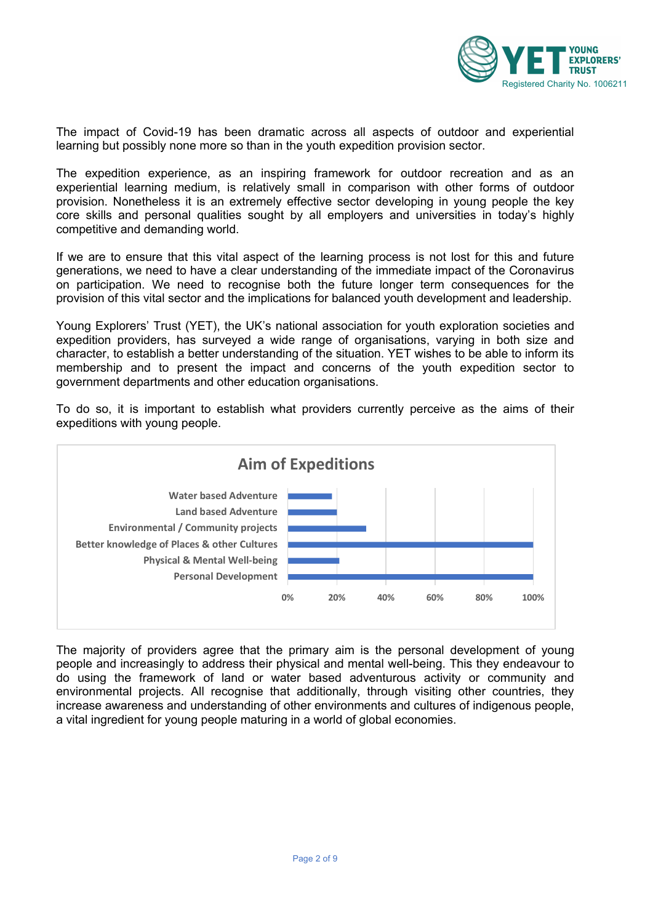

The impact of Covid-19 has been dramatic across all aspects of outdoor and experiential learning but possibly none more so than in the youth expedition provision sector.

The expedition experience, as an inspiring framework for outdoor recreation and as an experiential learning medium, is relatively small in comparison with other forms of outdoor provision. Nonetheless it is an extremely effective sector developing in young people the key core skills and personal qualities sought by all employers and universities in today's highly competitive and demanding world.

If we are to ensure that this vital aspect of the learning process is not lost for this and future generations, we need to have a clear understanding of the immediate impact of the Coronavirus on participation. We need to recognise both the future longer term consequences for the provision of this vital sector and the implications for balanced youth development and leadership.

Young Explorers' Trust (YET), the UK's national association for youth exploration societies and expedition providers, has surveyed a wide range of organisations, varying in both size and character, to establish a better understanding of the situation. YET wishes to be able to inform its membership and to present the impact and concerns of the youth expedition sector to government departments and other education organisations.

To do so, it is important to establish what providers currently perceive as the aims of their expeditions with young people.



The majority of providers agree that the primary aim is the personal development of young people and increasingly to address their physical and mental well-being. This they endeavour to do using the framework of land or water based adventurous activity or community and environmental projects. All recognise that additionally, through visiting other countries, they increase awareness and understanding of other environments and cultures of indigenous people, a vital ingredient for young people maturing in a world of global economies.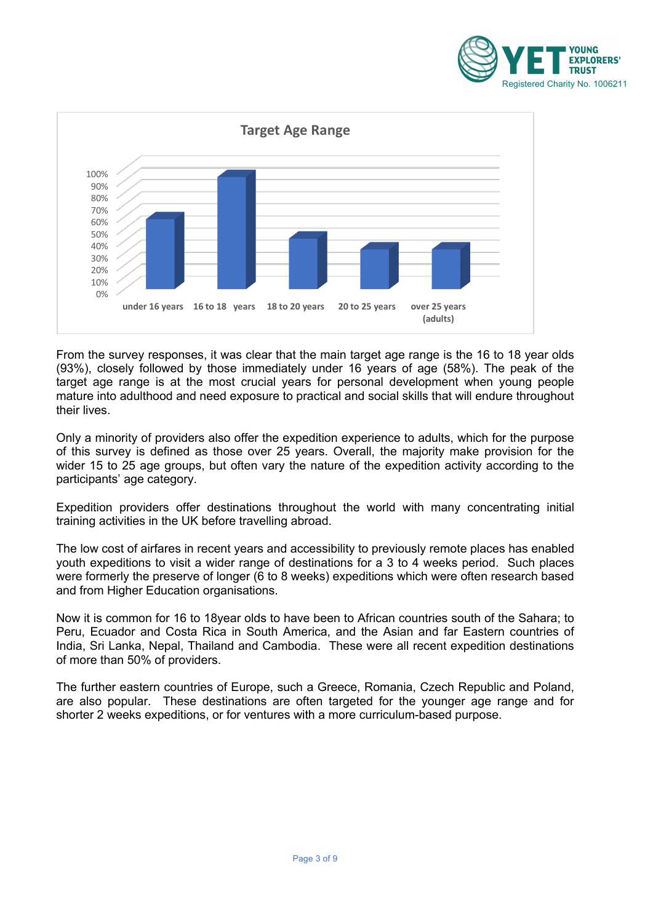



From the survey responses, it was clear that the main target age range is the 16 to 18 year olds (93%), closely followed by those immediately under 16 years of age (58%). The peak of the target age range is at the most crucial years for personal development when young people mature into adulthood and need exposure to practical and social skills that will endure throughout their lives.

Only a minority of providers also offer the expedition experience to adults, which for the purpose of this survey is defined as those over 25 years. Overall, the majority make provision for the wider 15 to 25 age groups, but often vary the nature of the expedition activity according to the participants' age category.

Expedition providers offer destinations throughout the world with many concentrating initial training activities in the UK before travelling abroad.

The low cost of airfares in recent years and accessibility to previously remote places has enabled youth expeditions to visit a wider range of destinations for a 3 to 4 weeks period. Such places were formerly the preserve of longer (6 to 8 weeks) expeditions which were often research based and from Higher Education organisations.

Now it is common for 16 to 18year olds to have been to African countries south of the Sahara; to Peru, Ecuador and Costa Rica in South America, and the Asian and far Eastern countries of India, Sri Lanka, Nepal, Thailand and Cambodia. These were all recent expedition destinations of more than 50% of providers.

The further eastern countries of Europe, such a Greece, Romania, Czech Republic and Poland, are also popular. These destinations are often targeted for the younger age range and for shorter 2 weeks expeditions, or for ventures with a more curriculum-based purpose.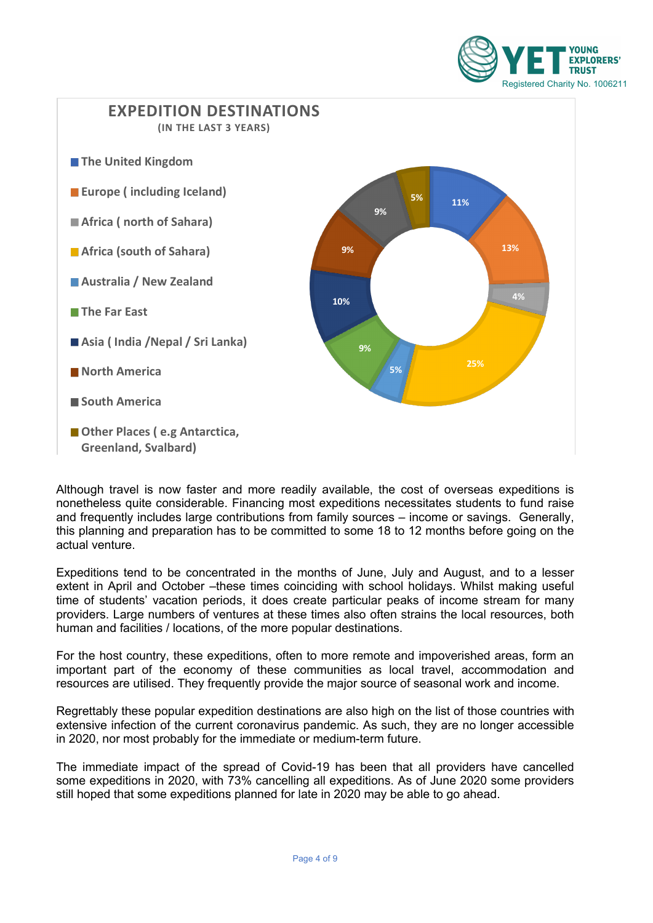



Although travel is now faster and more readily available, the cost of overseas expeditions is nonetheless quite considerable. Financing most expeditions necessitates students to fund raise and frequently includes large contributions from family sources – income or savings. Generally, this planning and preparation has to be committed to some 18 to 12 months before going on the actual venture.

Expeditions tend to be concentrated in the months of June, July and August, and to a lesser extent in April and October –these times coinciding with school holidays. Whilst making useful time of students' vacation periods, it does create particular peaks of income stream for many providers. Large numbers of ventures at these times also often strains the local resources, both human and facilities / locations, of the more popular destinations.

For the host country, these expeditions, often to more remote and impoverished areas, form an important part of the economy of these communities as local travel, accommodation and resources are utilised. They frequently provide the major source of seasonal work and income.

Regrettably these popular expedition destinations are also high on the list of those countries with extensive infection of the current coronavirus pandemic. As such, they are no longer accessible in 2020, nor most probably for the immediate or medium-term future.

The immediate impact of the spread of Covid-19 has been that all providers have cancelled some expeditions in 2020, with 73% cancelling all expeditions. As of June 2020 some providers still hoped that some expeditions planned for late in 2020 may be able to go ahead.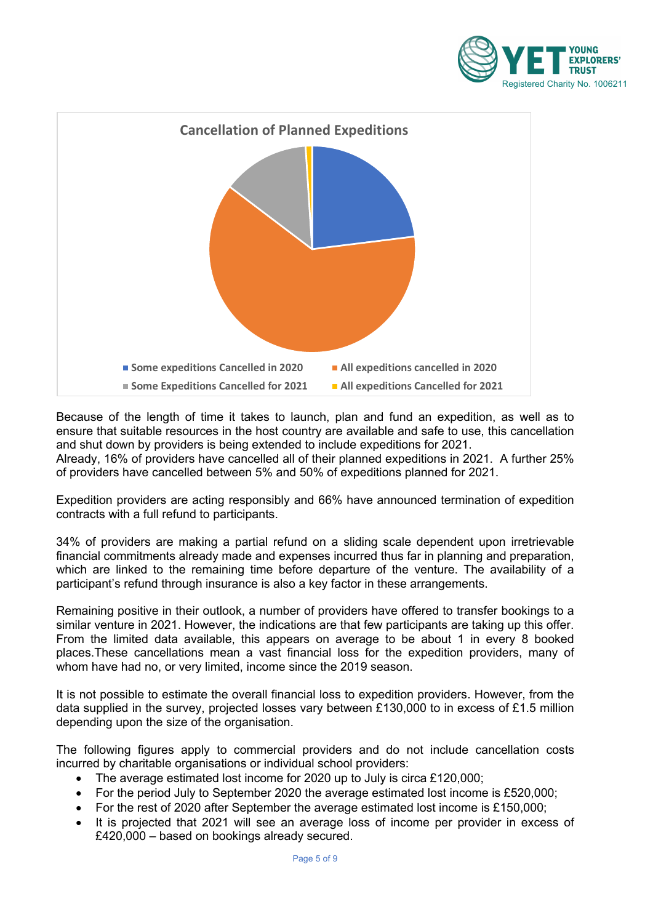



Because of the length of time it takes to launch, plan and fund an expedition, as well as to ensure that suitable resources in the host country are available and safe to use, this cancellation and shut down by providers is being extended to include expeditions for 2021.

Already, 16% of providers have cancelled all of their planned expeditions in 2021. A further 25% of providers have cancelled between 5% and 50% of expeditions planned for 2021.

Expedition providers are acting responsibly and 66% have announced termination of expedition contracts with a full refund to participants.

34% of providers are making a partial refund on a sliding scale dependent upon irretrievable financial commitments already made and expenses incurred thus far in planning and preparation, which are linked to the remaining time before departure of the venture. The availability of a participant's refund through insurance is also a key factor in these arrangements.

Remaining positive in their outlook, a number of providers have offered to transfer bookings to a similar venture in 2021. However, the indications are that few participants are taking up this offer. From the limited data available, this appears on average to be about 1 in every 8 booked places.These cancellations mean a vast financial loss for the expedition providers, many of whom have had no, or very limited, income since the 2019 season.

It is not possible to estimate the overall financial loss to expedition providers. However, from the data supplied in the survey, projected losses vary between £130,000 to in excess of £1.5 million depending upon the size of the organisation.

The following figures apply to commercial providers and do not include cancellation costs incurred by charitable organisations or individual school providers:

- The average estimated lost income for 2020 up to July is circa £120,000;
- For the period July to September 2020 the average estimated lost income is £520,000;
- For the rest of 2020 after September the average estimated lost income is £150,000;
- It is projected that 2021 will see an average loss of income per provider in excess of £420,000 – based on bookings already secured.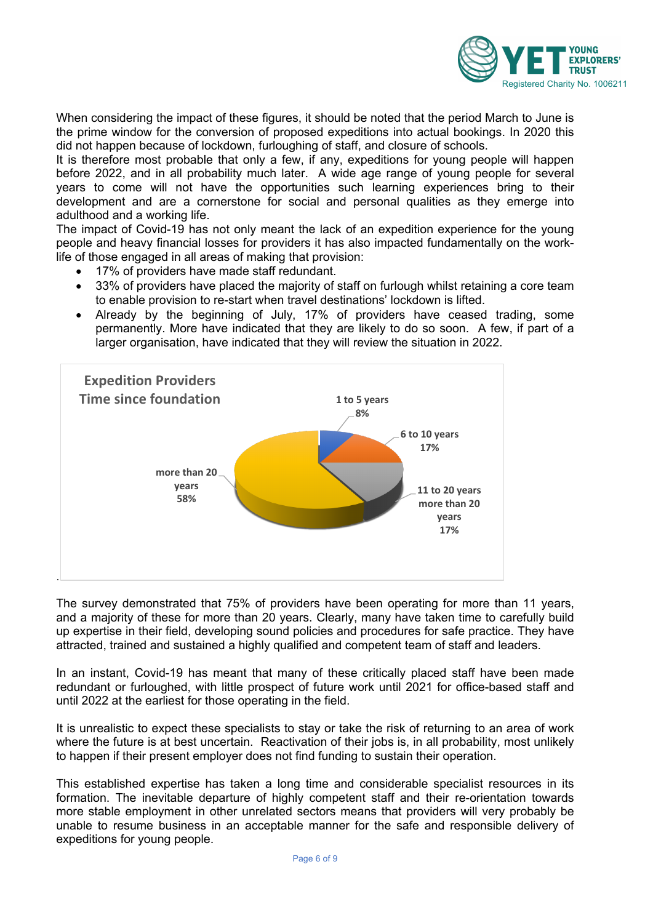

When considering the impact of these figures, it should be noted that the period March to June is the prime window for the conversion of proposed expeditions into actual bookings. In 2020 this did not happen because of lockdown, furloughing of staff, and closure of schools.

It is therefore most probable that only a few, if any, expeditions for young people will happen before 2022, and in all probability much later. A wide age range of young people for several years to come will not have the opportunities such learning experiences bring to their development and are a cornerstone for social and personal qualities as they emerge into adulthood and a working life.

The impact of Covid-19 has not only meant the lack of an expedition experience for the young people and heavy financial losses for providers it has also impacted fundamentally on the worklife of those engaged in all areas of making that provision:

- 17% of providers have made staff redundant.
- 33% of providers have placed the majority of staff on furlough whilst retaining a core team to enable provision to re-start when travel destinations' lockdown is lifted.
- Already by the beginning of July, 17% of providers have ceased trading, some permanently. More have indicated that they are likely to do so soon. A few, if part of a larger organisation, have indicated that they will review the situation in 2022.



The survey demonstrated that 75% of providers have been operating for more than 11 years, and a majority of these for more than 20 years. Clearly, many have taken time to carefully build up expertise in their field, developing sound policies and procedures for safe practice. They have attracted, trained and sustained a highly qualified and competent team of staff and leaders.

In an instant, Covid-19 has meant that many of these critically placed staff have been made redundant or furloughed, with little prospect of future work until 2021 for office-based staff and until 2022 at the earliest for those operating in the field.

It is unrealistic to expect these specialists to stay or take the risk of returning to an area of work where the future is at best uncertain. Reactivation of their jobs is, in all probability, most unlikely to happen if their present employer does not find funding to sustain their operation.

This established expertise has taken a long time and considerable specialist resources in its formation. The inevitable departure of highly competent staff and their re-orientation towards more stable employment in other unrelated sectors means that providers will very probably be unable to resume business in an acceptable manner for the safe and responsible delivery of expeditions for young people.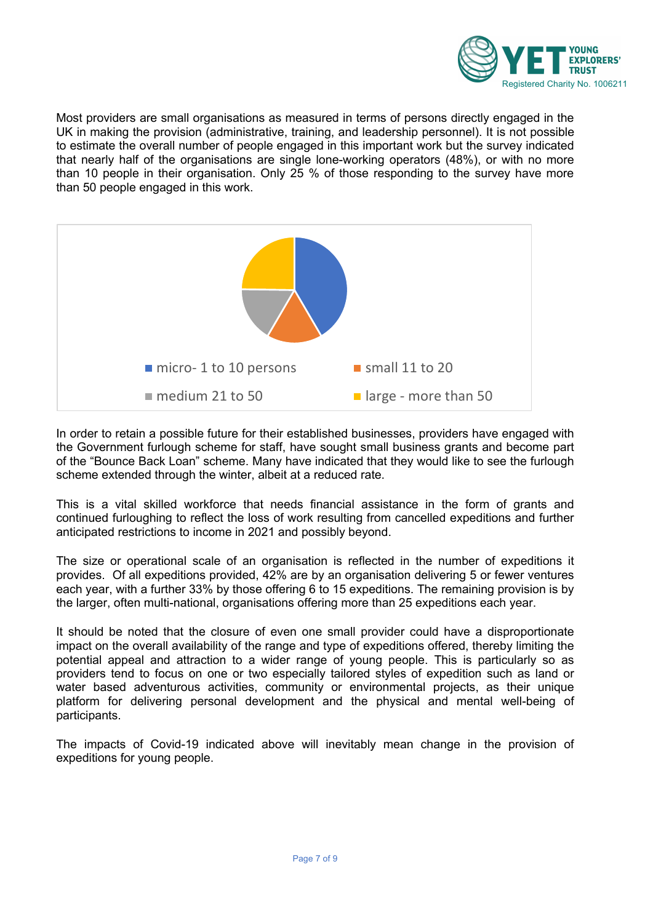

Most providers are small organisations as measured in terms of persons directly engaged in the UK in making the provision (administrative, training, and leadership personnel). It is not possible to estimate the overall number of people engaged in this important work but the survey indicated that nearly half of the organisations are single lone-working operators (48%), or with no more than 10 people in their organisation. Only 25 % of those responding to the survey have more than 50 people engaged in this work.



In order to retain a possible future for their established businesses, providers have engaged with the Government furlough scheme for staff, have sought small business grants and become part of the "Bounce Back Loan" scheme. Many have indicated that they would like to see the furlough scheme extended through the winter, albeit at a reduced rate.

This is a vital skilled workforce that needs financial assistance in the form of grants and continued furloughing to reflect the loss of work resulting from cancelled expeditions and further anticipated restrictions to income in 2021 and possibly beyond.

The size or operational scale of an organisation is reflected in the number of expeditions it provides. Of all expeditions provided, 42% are by an organisation delivering 5 or fewer ventures each year, with a further 33% by those offering 6 to 15 expeditions. The remaining provision is by the larger, often multi-national, organisations offering more than 25 expeditions each year.

It should be noted that the closure of even one small provider could have a disproportionate impact on the overall availability of the range and type of expeditions offered, thereby limiting the potential appeal and attraction to a wider range of young people. This is particularly so as providers tend to focus on one or two especially tailored styles of expedition such as land or water based adventurous activities, community or environmental projects, as their unique platform for delivering personal development and the physical and mental well-being of participants.

The impacts of Covid-19 indicated above will inevitably mean change in the provision of expeditions for young people.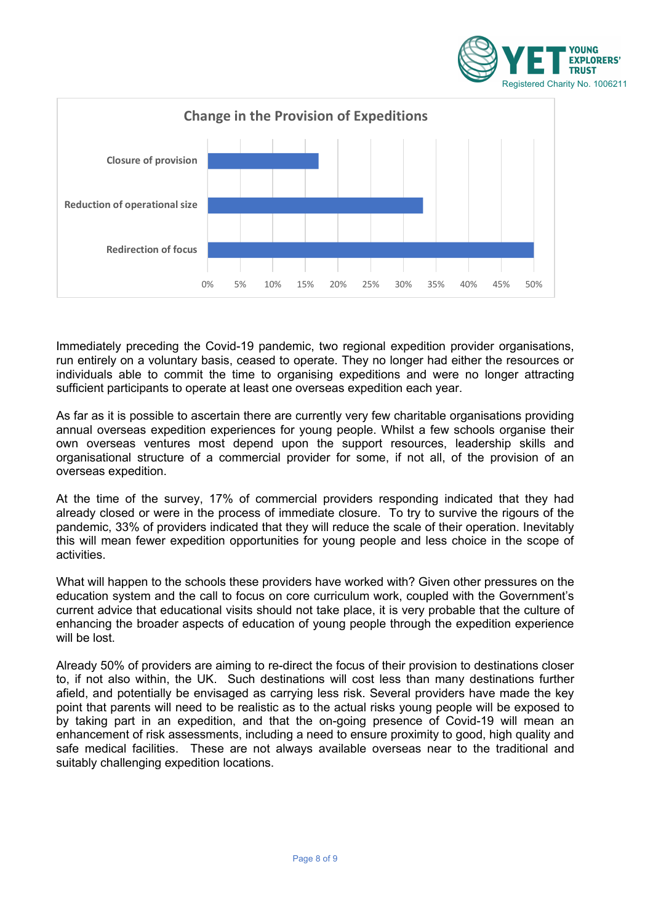



Immediately preceding the Covid-19 pandemic, two regional expedition provider organisations, run entirely on a voluntary basis, ceased to operate. They no longer had either the resources or individuals able to commit the time to organising expeditions and were no longer attracting sufficient participants to operate at least one overseas expedition each year.

As far as it is possible to ascertain there are currently very few charitable organisations providing annual overseas expedition experiences for young people. Whilst a few schools organise their own overseas ventures most depend upon the support resources, leadership skills and organisational structure of a commercial provider for some, if not all, of the provision of an overseas expedition.

At the time of the survey, 17% of commercial providers responding indicated that they had already closed or were in the process of immediate closure. To try to survive the rigours of the pandemic, 33% of providers indicated that they will reduce the scale of their operation. Inevitably this will mean fewer expedition opportunities for young people and less choice in the scope of activities.

What will happen to the schools these providers have worked with? Given other pressures on the education system and the call to focus on core curriculum work, coupled with the Government's current advice that educational visits should not take place, it is very probable that the culture of enhancing the broader aspects of education of young people through the expedition experience will be lost.

Already 50% of providers are aiming to re-direct the focus of their provision to destinations closer to, if not also within, the UK. Such destinations will cost less than many destinations further afield, and potentially be envisaged as carrying less risk. Several providers have made the key point that parents will need to be realistic as to the actual risks young people will be exposed to by taking part in an expedition, and that the on-going presence of Covid-19 will mean an enhancement of risk assessments, including a need to ensure proximity to good, high quality and safe medical facilities. These are not always available overseas near to the traditional and suitably challenging expedition locations.